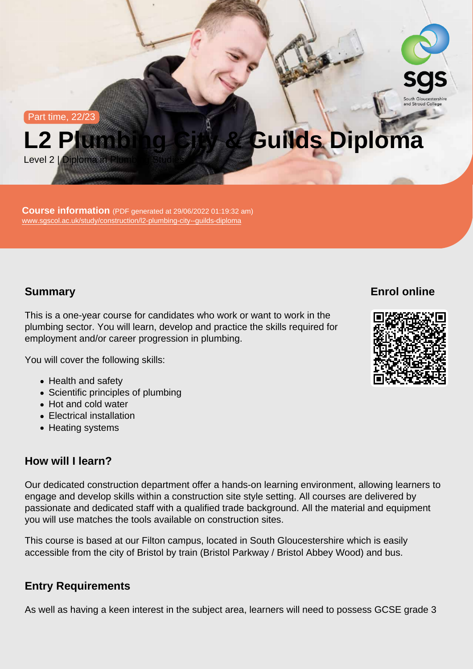Part time, 22/23

# L2 Plumbing City & Guilds Diploma

Level 2 | Diploma in Plumbing Studies

Course information (PDF generated at 29/06/2022 01:19:32 am) [www.sgscol.ac.uk/study/construction/l2-plumbing-city--guilds-diploma](https://www.sgscol.ac.uk/study/construction/l2-plumbing-city--guilds-diploma)

## **Summary**

Enrol online

This is a one-year course for candidates who work or want to work in the plumbing sector. You will learn, develop and practice the skills required for employment and/or career progression in plumbing.

You will cover the following skills:

- Health and safety
- Scientific principles of plumbing
- Hot and cold water
- Electrical installation
- Heating systems

## How will I learn?

Our dedicated construction department offer a hands-on learning environment, allowing learners to engage and develop skills within a construction site style setting. All courses are delivered by passionate and dedicated staff with a qualified trade background. All the material and equipment you will use matches the tools available on construction sites.

This course is based at our Filton campus, located in South Gloucestershire which is easily accessible from the city of Bristol by train (Bristol Parkway / Bristol Abbey Wood) and bus.

## Entry Requirements

As well as having a keen interest in the subject area, learners will need to possess GCSE grade 3